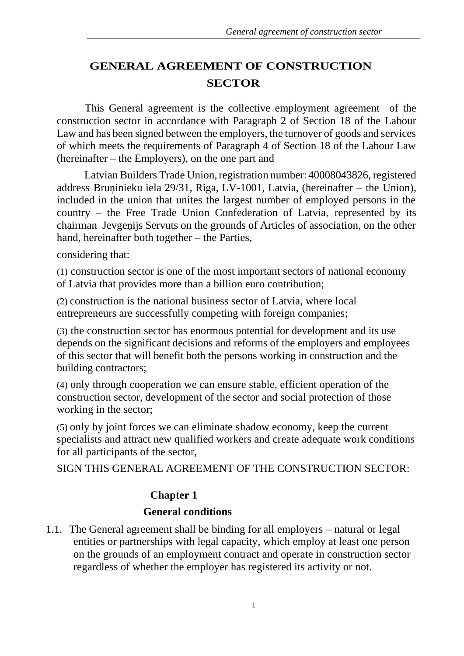# **GENERAL AGREEMENT OF CONSTRUCTION SECTOR**

This General agreement is the collective employment agreement of the construction sector in accordance with Paragraph 2 of Section 18 of the Labour Law and has been signed between the employers, the turnover of goods and services of which meets the requirements of Paragraph 4 of Section 18 of the Labour Law (hereinafter – the Employers), on the one part and

Latvian Builders Trade Union, registration number: 40008043826, registered address Bruņinieku iela 29/31, Riga, LV-1001, Latvia, (hereinafter – the Union), included in the union that unites the largest number of employed persons in the country – the Free Trade Union Confederation of Latvia, represented by its chairman Jevgeņijs Servuts on the grounds of Articles of association, on the other hand, hereinafter both together – the Parties,

considering that:

(1) construction sector is one of the most important sectors of national economy of Latvia that provides more than a billion euro contribution;

(2) construction is the national business sector of Latvia, where local entrepreneurs are successfully competing with foreign companies;

(3) the construction sector has enormous potential for development and its use depends on the significant decisions and reforms of the employers and employees of this sector that will benefit both the persons working in construction and the building contractors;

(4) only through cooperation we can ensure stable, efficient operation of the construction sector, development of the sector and social protection of those working in the sector;

(5) only by joint forces we can eliminate shadow economy, keep the current specialists and attract new qualified workers and create adequate work conditions for all participants of the sector,

SIGN THIS GENERAL AGREEMENT OF THE CONSTRUCTION SECTOR:

## **Chapter 1**

#### **General conditions**

1.1. The General agreement shall be binding for all employers – natural or legal entities or partnerships with legal capacity, which employ at least one person on the grounds of an employment contract and operate in construction sector regardless of whether the employer has registered its activity or not.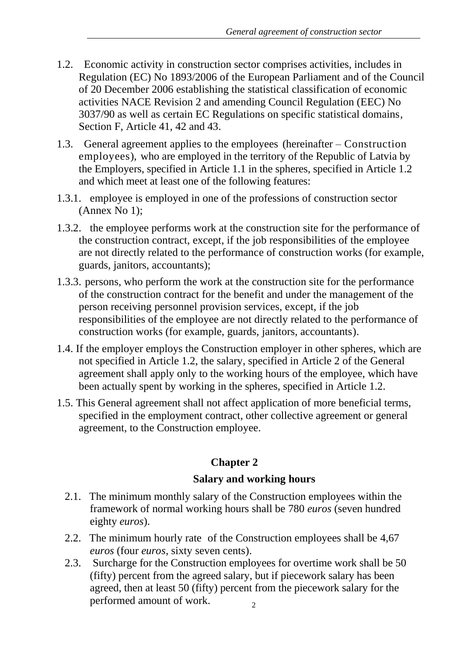- 1.2. Economic activity in construction sector comprises activities, includes in Regulation (EC) No 1893/2006 of the European Parliament and of the Council of 20 December 2006 establishing the statistical classification of economic activities NACE Revision 2 and amending Council Regulation (EEC) No 3037/90 as well as certain EC Regulations on specific statistical domains, Section F, Article 41, 42 and 43.
- 1.3. General agreement applies to the employees (hereinafter Construction employees), who are employed in the territory of the Republic of Latvia by the Employers, specified in Article 1.1 in the spheres, specified in Article 1.2 and which meet at least one of the following features:
- 1.3.1. employee is employed in one of the professions of construction sector (Annex No 1);
- 1.3.2. the employee performs work at the construction site for the performance of the construction contract, except, if the job responsibilities of the employee are not directly related to the performance of construction works (for example, guards, janitors, accountants);
- 1.3.3. persons, who perform the work at the construction site for the performance of the construction contract for the benefit and under the management of the person receiving personnel provision services, except, if the job responsibilities of the employee are not directly related to the performance of construction works (for example, guards, janitors, accountants).
- 1.4. If the employer employs the Construction employer in other spheres, which are not specified in Article 1.2, the salary, specified in Article 2 of the General agreement shall apply only to the working hours of the employee, which have been actually spent by working in the spheres, specified in Article 1.2.
- 1.5. This General agreement shall not affect application of more beneficial terms, specified in the employment contract, other collective agreement or general agreement, to the Construction employee.

# **Chapter 2**

## **Salary and working hours**

- 2.1. The minimum monthly salary of the Construction employees within the framework of normal working hours shall be 780 *euros* (seven hundred eighty *euros*).
- 2.2. The minimum hourly rate of the Construction employees shall be 4,67 *euros* (four *euros*, sixty seven cents).
- $\overline{2}$ 2.3. Surcharge for the Construction employees for overtime work shall be 50 (fifty) percent from the agreed salary, but if piecework salary has been agreed, then at least 50 (fifty) percent from the piecework salary for the performed amount of work.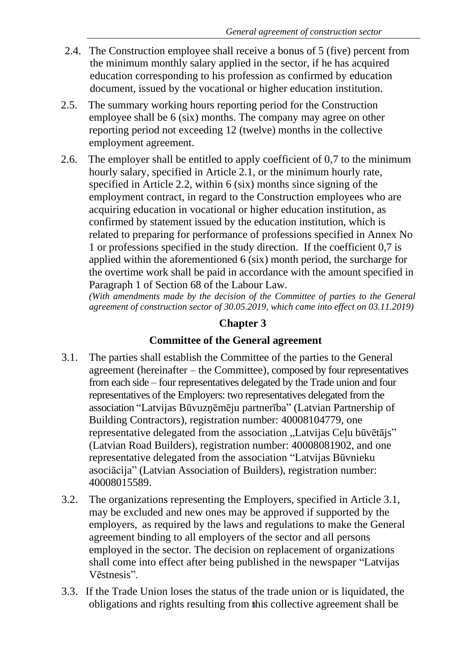- 2.4. The Construction employee shall receive a bonus of 5 (five) percent from the minimum monthly salary applied in the sector, if he has acquired education corresponding to his profession as confirmed by education document, issued by the vocational or higher education institution.
- 2.5. The summary working hours reporting period for the Construction employee shall be 6 (six) months. The company may agree on other reporting period not exceeding 12 (twelve) months in the collective employment agreement.
- 2.6. The employer shall be entitled to apply coefficient of 0,7 to the minimum hourly salary, specified in Article 2.1, or the minimum hourly rate, specified in Article 2.2, within 6 (six) months since signing of the employment contract, in regard to the Construction employees who are acquiring education in vocational or higher education institution, as confirmed by statement issued by the education institution, which is related to preparing for performance of professions specified in Annex No 1 or professions specified in the study direction. If the coefficient 0,7 is applied within the aforementioned 6 (six) month period, the surcharge for the overtime work shall be paid in accordance with the amount specified in Paragraph 1 of Section 68 of the Labour Law.

*(With amendments made by the decision of the Committee of parties to the General agreement of construction sector of 30.05.2019, which came into effect on 03.11.2019)*

# **Chapter 3**

## **Committee of the General agreement**

- 3.1. The parties shall establish the Committee of the parties to the General agreement (hereinafter – the Committee), composed by four representatives from each side – four representatives delegated by the Trade union and four representatives of the Employers: two representatives delegated from the association "Latvijas Būvuzņēmēju partnerība" (Latvian Partnership of Building Contractors), registration number: 40008104779, one representative delegated from the association "Latvijas Ceļu būvētājs" (Latvian Road Builders), registration number: 40008081902, and one representative delegated from the association "Latvijas Būvnieku asociācija" (Latvian Association of Builders), registration number: 40008015589.
- 3.2. The organizations representing the Employers, specified in Article 3.1, may be excluded and new ones may be approved if supported by the employers, as required by the laws and regulations to make the General agreement binding to all employers of the sector and all persons employed in the sector. The decision on replacement of organizations shall come into effect after being published in the newspaper "Latvijas Vēstnesis".
- obligations and rights resulting from this collective agreement shall be 3.3. If the Trade Union loses the status of the trade union or is liquidated, the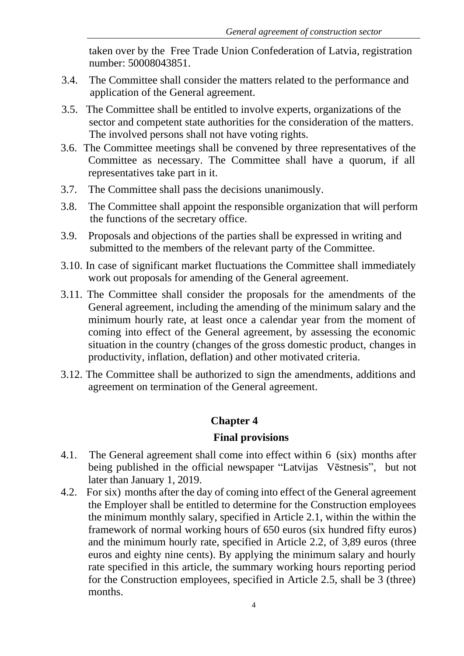taken over by the Free Trade Union Confederation of Latvia, registration number: 50008043851.

- 3.4. The Committee shall consider the matters related to the performance and application of the General agreement.
- 3.5. The Committee shall be entitled to involve experts, organizations of the sector and competent state authorities for the consideration of the matters. The involved persons shall not have voting rights.
- 3.6. The Committee meetings shall be convened by three representatives of the Committee as necessary. The Committee shall have a quorum, if all representatives take part in it.
- 3.7. The Committee shall pass the decisions unanimously.
- 3.8. The Committee shall appoint the responsible organization that will perform the functions of the secretary office.
- 3.9. Proposals and objections of the parties shall be expressed in writing and submitted to the members of the relevant party of the Committee.
- 3.10. In case of significant market fluctuations the Committee shall immediately work out proposals for amending of the General agreement.
- 3.11. The Committee shall consider the proposals for the amendments of the General agreement, including the amending of the minimum salary and the minimum hourly rate, at least once a calendar year from the moment of coming into effect of the General agreement, by assessing the economic situation in the country (changes of the gross domestic product, changes in productivity, inflation, deflation) and other motivated criteria.
- 3.12. The Committee shall be authorized to sign the amendments, additions and agreement on termination of the General agreement.

## **Chapter 4**

#### **Final provisions**

- 4.1. The General agreement shall come into effect within 6 (six) months after being published in the official newspaper "Latvijas Vēstnesis", but not later than January 1, 2019.
- 4.2. For six) months after the day of coming into effect of the General agreement the Employer shall be entitled to determine for the Construction employees the minimum monthly salary, specified in Article 2.1, within the within the framework of normal working hours of 650 euros (six hundred fifty euros) and the minimum hourly rate, specified in Article 2.2, of 3,89 euros (three euros and eighty nine cents). By applying the minimum salary and hourly rate specified in this article, the summary working hours reporting period for the Construction employees, specified in Article 2.5, shall be 3 (three) months.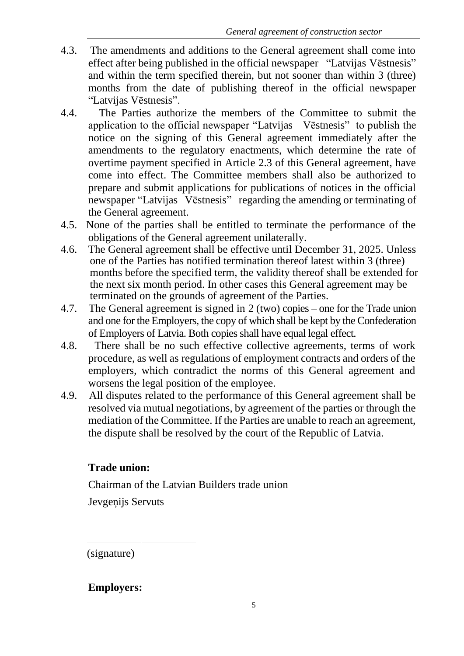- 4.3. The amendments and additions to the General agreement shall come into effect after being published in the official newspaper "Latvijas Vēstnesis" and within the term specified therein, but not sooner than within 3 (three) months from the date of publishing thereof in the official newspaper "Latvijas Vēstnesis".
- 4.4. The Parties authorize the members of the Committee to submit the application to the official newspaper "Latvijas Vēstnesis" to publish the notice on the signing of this General agreement immediately after the amendments to the regulatory enactments, which determine the rate of overtime payment specified in Article 2.3 of this General agreement, have come into effect. The Committee members shall also be authorized to prepare and submit applications for publications of notices in the official newspaper "Latvijas Vēstnesis" regarding the amending or terminating of the General agreement.
- 4.5. None of the parties shall be entitled to terminate the performance of the obligations of the General agreement unilaterally.
- 4.6. The General agreement shall be effective until December 31, 2025. Unless one of the Parties has notified termination thereof latest within 3 (three) months before the specified term, the validity thereof shall be extended for the next six month period. In other cases this General agreement may be terminated on the grounds of agreement of the Parties.
- 4.7. The General agreement is signed in 2 (two) copies one for the Trade union and one for the Employers, the copy of which shall be kept by the Confederation of Employers of Latvia. Both copies shall have equal legal effect.
- 4.8. There shall be no such effective collective agreements, terms of work procedure, as well as regulations of employment contracts and orders of the employers, which contradict the norms of this General agreement and worsens the legal position of the employee.
- 4.9. All disputes related to the performance of this General agreement shall be resolved via mutual negotiations, by agreement of the parties or through the mediation of the Committee. If the Parties are unable to reach an agreement, the dispute shall be resolved by the court of the Republic of Latvia.

# **Trade union:**

Chairman of the Latvian Builders trade union

Jevgeņijs Servuts

(signature)

**Employers:**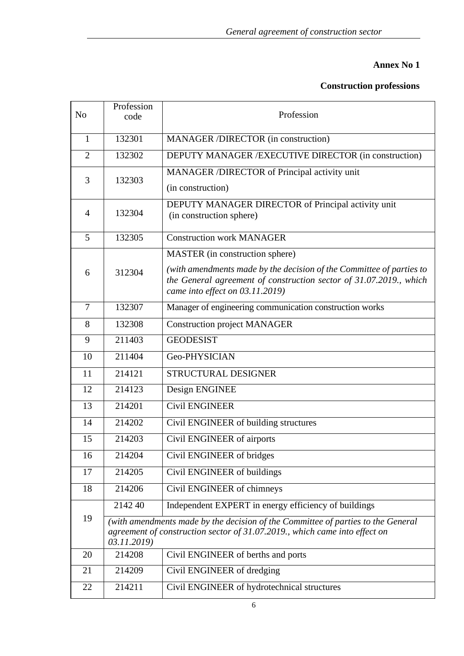#### **Annex No 1**

#### **Construction professions**

| N <sub>o</sub> | Profession<br>code | Profession                                                                                                                                                                                                       |
|----------------|--------------------|------------------------------------------------------------------------------------------------------------------------------------------------------------------------------------------------------------------|
| 1              | 132301             | MANAGER /DIRECTOR (in construction)                                                                                                                                                                              |
| $\overline{2}$ | 132302             | DEPUTY MANAGER / EXECUTIVE DIRECTOR (in construction)                                                                                                                                                            |
| 3              | 132303             | MANAGER /DIRECTOR of Principal activity unit<br>(in construction)                                                                                                                                                |
| $\overline{4}$ | 132304             | DEPUTY MANAGER DIRECTOR of Principal activity unit<br>(in construction sphere)                                                                                                                                   |
| 5              | 132305             | <b>Construction work MANAGER</b>                                                                                                                                                                                 |
| 6              | 312304             | MASTER (in construction sphere)<br>(with amendments made by the decision of the Committee of parties to<br>the General agreement of construction sector of 31.07.2019., which<br>came into effect on 03.11.2019) |
| $\overline{7}$ | 132307             | Manager of engineering communication construction works                                                                                                                                                          |
| 8              | 132308             | <b>Construction project MANAGER</b>                                                                                                                                                                              |
| 9              | 211403             | <b>GEODESIST</b>                                                                                                                                                                                                 |
| 10             | 211404             | Geo-PHYSICIAN                                                                                                                                                                                                    |
| 11             | 214121             | STRUCTURAL DESIGNER                                                                                                                                                                                              |
| 12             | 214123             | Design ENGINEE                                                                                                                                                                                                   |
| 13             | 214201             | <b>Civil ENGINEER</b>                                                                                                                                                                                            |
| 14             | 214202             | Civil ENGINEER of building structures                                                                                                                                                                            |
| 15             | 214203             | Civil ENGINEER of airports                                                                                                                                                                                       |
| 16             | 214204             | Civil ENGINEER of bridges                                                                                                                                                                                        |
| 17             | 214205             | Civil ENGINEER of buildings                                                                                                                                                                                      |
| 18             | 214206             | Civil ENGINEER of chimneys                                                                                                                                                                                       |
|                | 2142 40            | Independent EXPERT in energy efficiency of buildings                                                                                                                                                             |
| 19             | 03.11.2019)        | (with amendments made by the decision of the Committee of parties to the General<br>agreement of construction sector of 31.07.2019., which came into effect on                                                   |
| 20             | 214208             | Civil ENGINEER of berths and ports                                                                                                                                                                               |
| 21             | 214209             | Civil ENGINEER of dredging                                                                                                                                                                                       |
| 22             | 214211             | Civil ENGINEER of hydrotechnical structures                                                                                                                                                                      |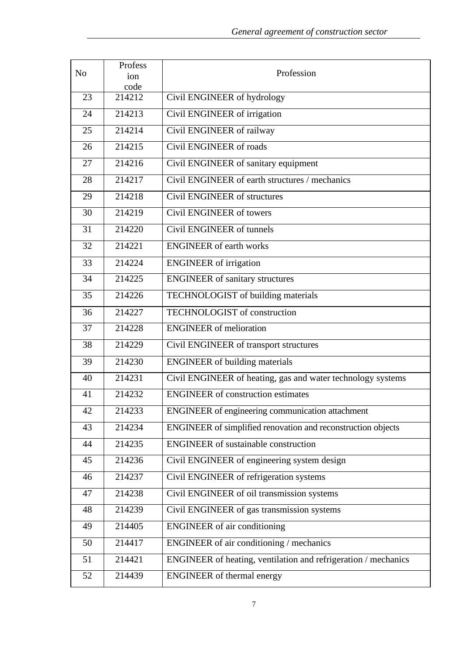|                | Profess        |                                                                |
|----------------|----------------|----------------------------------------------------------------|
| N <sub>o</sub> | ion            | Profession                                                     |
| 23             | code<br>214212 | Civil ENGINEER of hydrology                                    |
|                |                |                                                                |
| 24             | 214213         | Civil ENGINEER of irrigation                                   |
| 25             | 214214         | Civil ENGINEER of railway                                      |
| 26             | 214215         | Civil ENGINEER of roads                                        |
| 27             | 214216         | Civil ENGINEER of sanitary equipment                           |
| 28             | 214217         | Civil ENGINEER of earth structures / mechanics                 |
| 29             | 214218         | Civil ENGINEER of structures                                   |
| 30             | 214219         | Civil ENGINEER of towers                                       |
| 31             | 214220         | Civil ENGINEER of tunnels                                      |
| 32             | 214221         | <b>ENGINEER</b> of earth works                                 |
| 33             | 214224         | <b>ENGINEER</b> of irrigation                                  |
| 34             | 214225         | <b>ENGINEER</b> of sanitary structures                         |
| 35             | 214226         | TECHNOLOGIST of building materials                             |
| 36             | 214227         | <b>TECHNOLOGIST</b> of construction                            |
| 37             | 214228         | <b>ENGINEER</b> of melioration                                 |
| 38             | 214229         | Civil ENGINEER of transport structures                         |
| 39             | 214230         | <b>ENGINEER</b> of building materials                          |
| 40             | 214231         | Civil ENGINEER of heating, gas and water technology systems    |
| 41             | 214232         | <b>ENGINEER</b> of construction estimates                      |
| 42             | 214233         | <b>ENGINEER</b> of engineering communication attachment        |
| 43             | 214234         | ENGINEER of simplified renovation and reconstruction objects   |
| 44             | 214235         | <b>ENGINEER</b> of sustainable construction                    |
| 45             | 214236         | Civil ENGINEER of engineering system design                    |
| 46             | 214237         | Civil ENGINEER of refrigeration systems                        |
| 47             | 214238         | Civil ENGINEER of oil transmission systems                     |
| 48             | 214239         | Civil ENGINEER of gas transmission systems                     |
| 49             | 214405         | <b>ENGINEER</b> of air conditioning                            |
| 50             | 214417         | ENGINEER of air conditioning / mechanics                       |
| 51             | 214421         | ENGINEER of heating, ventilation and refrigeration / mechanics |
| 52             | 214439         | <b>ENGINEER</b> of thermal energy                              |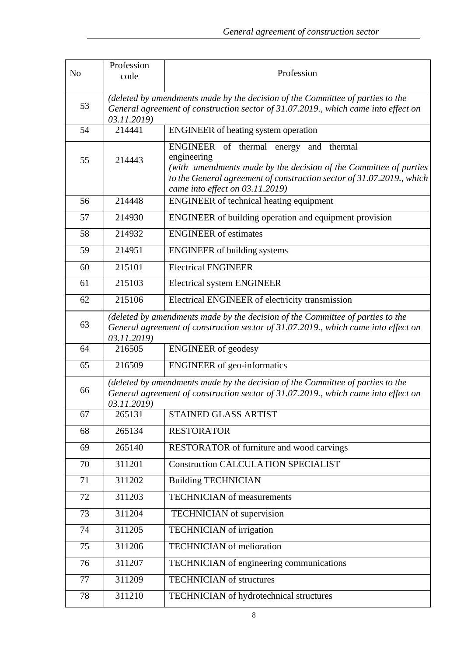| N <sub>o</sub> | Profession<br>code                                                                                                                                                                  | Profession                                                                                                                                                                                                                             |
|----------------|-------------------------------------------------------------------------------------------------------------------------------------------------------------------------------------|----------------------------------------------------------------------------------------------------------------------------------------------------------------------------------------------------------------------------------------|
| 53             | (deleted by amendments made by the decision of the Committee of parties to the<br>General agreement of construction sector of 31.07.2019., which came into effect on<br>03.11.2019) |                                                                                                                                                                                                                                        |
| 54             | 214441                                                                                                                                                                              | ENGINEER of heating system operation                                                                                                                                                                                                   |
| 55             | 214443                                                                                                                                                                              | ENGINEER of thermal energy and thermal<br>engineering<br>(with amendments made by the decision of the Committee of parties<br>to the General agreement of construction sector of 31.07.2019., which<br>came into effect on 03.11.2019) |
| 56             | 214448                                                                                                                                                                              | <b>ENGINEER</b> of technical heating equipment                                                                                                                                                                                         |
| 57             | 214930                                                                                                                                                                              | ENGINEER of building operation and equipment provision                                                                                                                                                                                 |
| 58             | 214932                                                                                                                                                                              | <b>ENGINEER</b> of estimates                                                                                                                                                                                                           |
| 59             | 214951                                                                                                                                                                              | <b>ENGINEER</b> of building systems                                                                                                                                                                                                    |
| 60             | 215101                                                                                                                                                                              | <b>Electrical ENGINEER</b>                                                                                                                                                                                                             |
| 61             | 215103                                                                                                                                                                              | <b>Electrical system ENGINEER</b>                                                                                                                                                                                                      |
| 62             | 215106                                                                                                                                                                              | Electrical ENGINEER of electricity transmission                                                                                                                                                                                        |
| 63             | (deleted by amendments made by the decision of the Committee of parties to the<br>General agreement of construction sector of 31.07.2019., which came into effect on<br>03.11.2019) |                                                                                                                                                                                                                                        |
| 64             | 216505                                                                                                                                                                              | <b>ENGINEER</b> of geodesy                                                                                                                                                                                                             |
| 65             | 216509                                                                                                                                                                              | <b>ENGINEER</b> of geo-informatics                                                                                                                                                                                                     |
| 66             | (deleted by amendments made by the decision of the Committee of parties to the<br>General agreement of construction sector of 31.07.2019., which came into effect on<br>03.11.2019) |                                                                                                                                                                                                                                        |
| 67             | 265131                                                                                                                                                                              | STAINED GLASS ARTIST                                                                                                                                                                                                                   |
| 68             | 265134                                                                                                                                                                              | <b>RESTORATOR</b>                                                                                                                                                                                                                      |
| 69             | 265140                                                                                                                                                                              | RESTORATOR of furniture and wood carvings                                                                                                                                                                                              |
| 70             | $311\overline{201}$                                                                                                                                                                 | <b>Construction CALCULATION SPECIALIST</b>                                                                                                                                                                                             |
| 71             | 311202                                                                                                                                                                              | <b>Building TECHNICIAN</b>                                                                                                                                                                                                             |
| 72             | 311203                                                                                                                                                                              | <b>TECHNICIAN</b> of measurements                                                                                                                                                                                                      |
| 73             | 311204                                                                                                                                                                              | <b>TECHNICIAN</b> of supervision                                                                                                                                                                                                       |
| 74             | 311205                                                                                                                                                                              | TECHNICIAN of irrigation                                                                                                                                                                                                               |
| 75             | 311206                                                                                                                                                                              | <b>TECHNICIAN</b> of melioration                                                                                                                                                                                                       |
| 76             | 311207                                                                                                                                                                              | TECHNICIAN of engineering communications                                                                                                                                                                                               |
| 77             | 311209                                                                                                                                                                              | <b>TECHNICIAN</b> of structures                                                                                                                                                                                                        |
| 78             | 311210                                                                                                                                                                              | TECHNICIAN of hydrotechnical structures                                                                                                                                                                                                |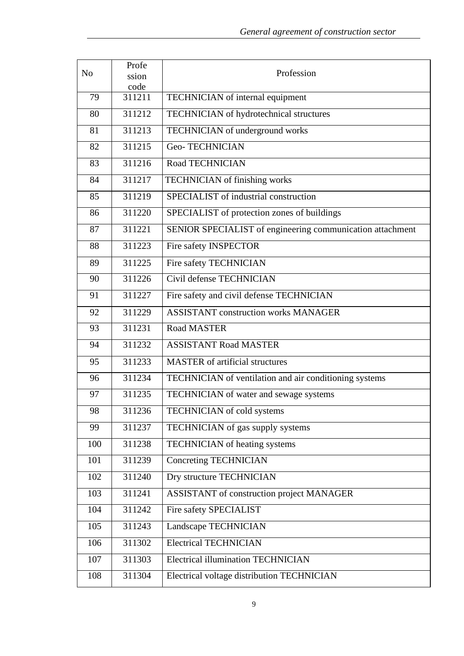| N <sub>o</sub>   | Profe         | Profession                                                |
|------------------|---------------|-----------------------------------------------------------|
|                  | ssion<br>code |                                                           |
| 79               | 311211        | TECHNICIAN of internal equipment                          |
| 80               | 311212        | TECHNICIAN of hydrotechnical structures                   |
| 81               | 311213        | TECHNICIAN of underground works                           |
| 82               | 311215        | <b>Geo-TECHNICIAN</b>                                     |
| 83               | 311216        | Road TECHNICIAN                                           |
| 84               | 311217        | <b>TECHNICIAN</b> of finishing works                      |
| 85               | 311219        | SPECIALIST of industrial construction                     |
| 86               | 311220        | SPECIALIST of protection zones of buildings               |
| 87               | 311221        | SENIOR SPECIALIST of engineering communication attachment |
| 88               | 311223        | Fire safety INSPECTOR                                     |
| 89               | 311225        | Fire safety TECHNICIAN                                    |
| 90               | 311226        | Civil defense TECHNICIAN                                  |
| 91               | 311227        | Fire safety and civil defense TECHNICIAN                  |
| 92               | 311229        | <b>ASSISTANT construction works MANAGER</b>               |
| 93               | 311231        | <b>Road MASTER</b>                                        |
| 94               | 311232        | <b>ASSISTANT Road MASTER</b>                              |
| 95               | 311233        | <b>MASTER</b> of artificial structures                    |
| 96               | 311234        | TECHNICIAN of ventilation and air conditioning systems    |
| 97               | 311235        | TECHNICIAN of water and sewage systems                    |
| 98               | 311236        | <b>TECHNICIAN</b> of cold systems                         |
| 99               | 311237        | TECHNICIAN of gas supply systems                          |
| 100              | 311238        | TECHNICIAN of heating systems                             |
| 101              | 311239        | Concreting TECHNICIAN                                     |
| 102              | 311240        | Dry structure TECHNICIAN                                  |
| $\overline{103}$ | 311241        | <b>ASSISTANT</b> of construction project MANAGER          |
| 104              | 311242        | Fire safety SPECIALIST                                    |
| $10\overline{5}$ | 311243        | Landscape TECHNICIAN                                      |
| 106              | 311302        | <b>Electrical TECHNICIAN</b>                              |
| 107              | 311303        | <b>Electrical illumination TECHNICIAN</b>                 |
| 108              | 311304        | Electrical voltage distribution TECHNICIAN                |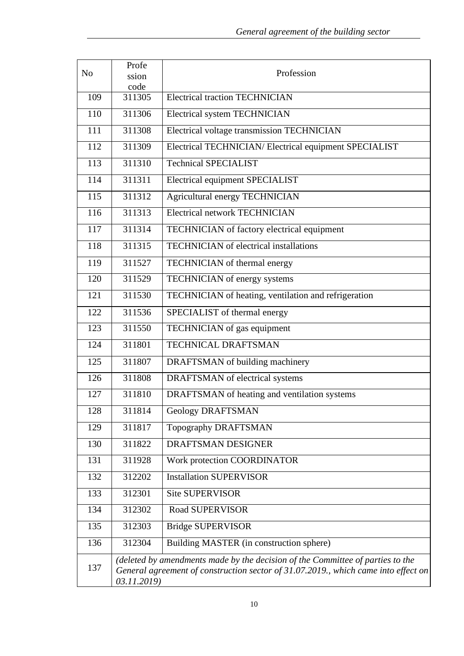| N <sub>o</sub> | Profe<br>ssion | Profession                                                                                                                                                           |
|----------------|----------------|----------------------------------------------------------------------------------------------------------------------------------------------------------------------|
| 109            | code<br>311305 | <b>Electrical traction TECHNICIAN</b>                                                                                                                                |
| 110            | 311306         | Electrical system TECHNICIAN                                                                                                                                         |
| 111            | 311308         | Electrical voltage transmission TECHNICIAN                                                                                                                           |
| 112            | 311309         | Electrical TECHNICIAN/Electrical equipment SPECIALIST                                                                                                                |
| 113            | 311310         | <b>Technical SPECIALIST</b>                                                                                                                                          |
| 114            | 311311         | Electrical equipment SPECIALIST                                                                                                                                      |
| 115            | 311312         | Agricultural energy TECHNICIAN                                                                                                                                       |
| 116            | 311313         | <b>Electrical network TECHNICIAN</b>                                                                                                                                 |
| 117            | 311314         | TECHNICIAN of factory electrical equipment                                                                                                                           |
| 118            | 311315         | <b>TECHNICIAN</b> of electrical installations                                                                                                                        |
| 119            | 311527         | TECHNICIAN of thermal energy                                                                                                                                         |
| 120            | 311529         | TECHNICIAN of energy systems                                                                                                                                         |
| 121            | 311530         | TECHNICIAN of heating, ventilation and refrigeration                                                                                                                 |
| 122            | 311536         | SPECIALIST of thermal energy                                                                                                                                         |
| 123            | 311550         | TECHNICIAN of gas equipment                                                                                                                                          |
| 124            | 311801         | TECHNICAL DRAFTSMAN                                                                                                                                                  |
| 125            | 311807         | DRAFTSMAN of building machinery                                                                                                                                      |
| 126            | 311808         | DRAFTSMAN of electrical systems                                                                                                                                      |
| 127            | 311810         | DRAFTSMAN of heating and ventilation systems                                                                                                                         |
| 128            | 311814         | Geology DRAFTSMAN                                                                                                                                                    |
| 129            | 311817         | Topography DRAFTSMAN                                                                                                                                                 |
| 130            | 311822         | DRAFTSMAN DESIGNER                                                                                                                                                   |
| 131            | 311928         | Work protection COORDINATOR                                                                                                                                          |
| 132            | 312202         | <b>Installation SUPERVISOR</b>                                                                                                                                       |
| 133            | 312301         | <b>Site SUPERVISOR</b>                                                                                                                                               |
| 134            | 312302         | <b>Road SUPERVISOR</b>                                                                                                                                               |
| 135            | 312303         | <b>Bridge SUPERVISOR</b>                                                                                                                                             |
| 136            | 312304         | Building MASTER (in construction sphere)                                                                                                                             |
| 137            | 03.11.2019)    | (deleted by amendments made by the decision of the Committee of parties to the<br>General agreement of construction sector of 31.07.2019., which came into effect on |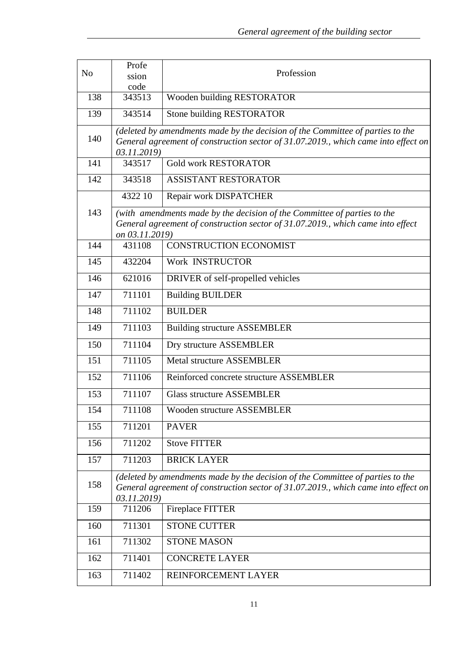| N <sub>o</sub>   | Profe<br>ssion<br>code | Profession                                                                                                                                                           |
|------------------|------------------------|----------------------------------------------------------------------------------------------------------------------------------------------------------------------|
| 138              | 343513                 | Wooden building RESTORATOR                                                                                                                                           |
| 139              | 343514                 | <b>Stone building RESTORATOR</b>                                                                                                                                     |
| 140              | 03.11.2019)            | (deleted by amendments made by the decision of the Committee of parties to the<br>General agreement of construction sector of 31.07.2019., which came into effect on |
| 141              | 343517                 | <b>Gold work RESTORATOR</b>                                                                                                                                          |
| 142              | 343518                 | <b>ASSISTANT RESTORATOR</b>                                                                                                                                          |
|                  | 4322 10                | Repair work DISPATCHER                                                                                                                                               |
| 143              | on 03.11.2019)         | (with amendments made by the decision of the Committee of parties to the<br>General agreement of construction sector of 31.07.2019., which came into effect          |
| 144              | 431108                 | <b>CONSTRUCTION ECONOMIST</b>                                                                                                                                        |
| 145              | 432204                 | Work INSTRUCTOR                                                                                                                                                      |
| 146              | 621016                 | DRIVER of self-propelled vehicles                                                                                                                                    |
| 147              | 711101                 | <b>Building BUILDER</b>                                                                                                                                              |
| 148              | 711102                 | <b>BUILDER</b>                                                                                                                                                       |
| 149              | 711103                 | <b>Building structure ASSEMBLER</b>                                                                                                                                  |
| 150              | 711104                 | Dry structure ASSEMBLER                                                                                                                                              |
| 151              | 711105                 | Metal structure ASSEMBLER                                                                                                                                            |
| $\overline{152}$ | 711106                 | Reinforced concrete structure ASSEMBLER                                                                                                                              |
| 153              | 711107                 | <b>Glass structure ASSEMBLER</b>                                                                                                                                     |
| 154              | 711108                 | Wooden structure ASSEMBLER                                                                                                                                           |
| 155              | 711201                 | <b>PAVER</b>                                                                                                                                                         |
| 156              | 711202                 | <b>Stove FITTER</b>                                                                                                                                                  |
| 157              | 711203                 | <b>BRICK LAYER</b>                                                                                                                                                   |
| 158              | 03.11.2019)            | (deleted by amendments made by the decision of the Committee of parties to the<br>General agreement of construction sector of 31.07.2019., which came into effect on |
| 159              | 711206                 | Fireplace FITTER                                                                                                                                                     |
| 160              | 711301                 | <b>STONE CUTTER</b>                                                                                                                                                  |
| 161              | 711302                 | <b>STONE MASON</b>                                                                                                                                                   |
| 162              | 711401                 | <b>CONCRETE LAYER</b>                                                                                                                                                |
| 163              | 711402                 | REINFORCEMENT LAYER                                                                                                                                                  |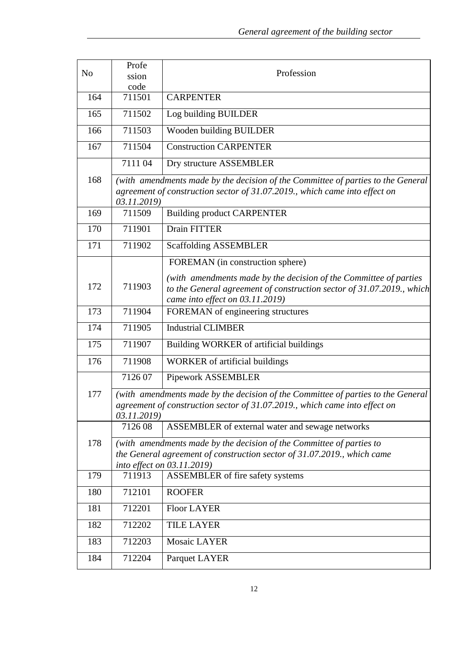| N <sub>o</sub> | Profe<br>ssion | Profession                                                                                               |
|----------------|----------------|----------------------------------------------------------------------------------------------------------|
|                | code           |                                                                                                          |
| 164            | 711501         | <b>CARPENTER</b>                                                                                         |
| 165            | 711502         | Log building BUILDER                                                                                     |
| 166            | 711503         | Wooden building BUILDER                                                                                  |
| 167            | 711504         | <b>Construction CARPENTER</b>                                                                            |
|                | 711104         | Dry structure ASSEMBLER                                                                                  |
| 168            |                | (with amendments made by the decision of the Committee of parties to the General                         |
|                |                | agreement of construction sector of 31.07.2019., which came into effect on                               |
|                | 03.11.2019)    |                                                                                                          |
| 169            | 711509         | <b>Building product CARPENTER</b>                                                                        |
| 170            | 711901         | Drain FITTER                                                                                             |
| 171            | 711902         | <b>Scaffolding ASSEMBLER</b>                                                                             |
|                |                | FOREMAN (in construction sphere)                                                                         |
| 172            | 711903         | (with amendments made by the decision of the Committee of parties                                        |
|                |                | to the General agreement of construction sector of 31.07.2019., which<br>came into effect on 03.11.2019) |
| 173            | 711904         | FOREMAN of engineering structures                                                                        |
| 174            | 711905         | <b>Industrial CLIMBER</b>                                                                                |
| 175            | 711907         | Building WORKER of artificial buildings                                                                  |
| 176            | 711908         | <b>WORKER</b> of artificial buildings                                                                    |
|                | 712607         | <b>Pipework ASSEMBLER</b>                                                                                |
| 177            |                | (with amendments made by the decision of the Committee of parties to the General                         |
|                | 03.11.2019)    | agreement of construction sector of 31.07.2019., which came into effect on                               |
|                | 712608         | ASSEMBLER of external water and sewage networks                                                          |
| 178            |                | (with amendments made by the decision of the Committee of parties to                                     |
|                |                | the General agreement of construction sector of 31.07.2019., which came                                  |
|                |                | into effect on 03.11.2019)                                                                               |
| 179            | 711913         | ASSEMBLER of fire safety systems                                                                         |
| 180            | 712101         | <b>ROOFER</b>                                                                                            |
| 181            | 712201         | <b>Floor LAYER</b>                                                                                       |
| 182            | 712202         | <b>TILE LAYER</b>                                                                                        |
| 183            | 712203         | <b>Mosaic LAYER</b>                                                                                      |
| 184            | 712204         | Parquet LAYER                                                                                            |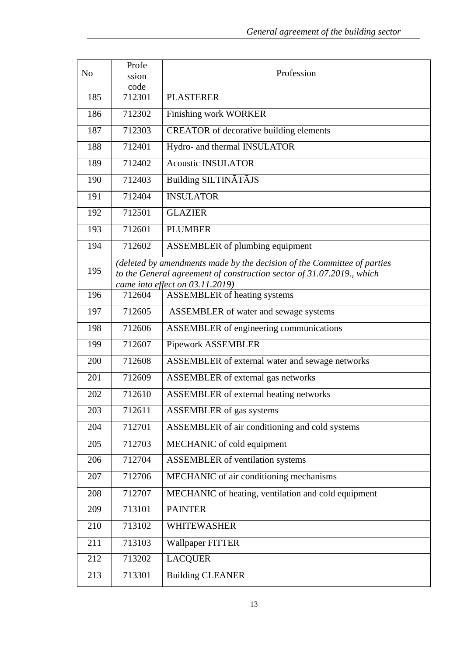| N <sub>o</sub> | Profe                                                                                                                                                                               | Profession                                          |  |
|----------------|-------------------------------------------------------------------------------------------------------------------------------------------------------------------------------------|-----------------------------------------------------|--|
|                | ssion<br>code                                                                                                                                                                       |                                                     |  |
| 185            | 712301                                                                                                                                                                              | <b>PLASTERER</b>                                    |  |
| 186            | 712302                                                                                                                                                                              | <b>Finishing work WORKER</b>                        |  |
| 187            | 712303                                                                                                                                                                              | <b>CREATOR</b> of decorative building elements      |  |
| 188            | 712401                                                                                                                                                                              | Hydro- and thermal INSULATOR                        |  |
| 189            | 712402                                                                                                                                                                              | <b>Acoustic INSULATOR</b>                           |  |
| 190            | 712403                                                                                                                                                                              | Building SILTINĀTĀJS                                |  |
| 191            | 712404                                                                                                                                                                              | <b>INSULATOR</b>                                    |  |
| 192            | 712501                                                                                                                                                                              | <b>GLAZIER</b>                                      |  |
| 193            | 712601                                                                                                                                                                              | <b>PLUMBER</b>                                      |  |
| 194            | 712602                                                                                                                                                                              | <b>ASSEMBLER</b> of plumbing equipment              |  |
| 195            | (deleted by amendments made by the decision of the Committee of parties<br>to the General agreement of construction sector of 31.07.2019., which<br>came into effect on 03.11.2019) |                                                     |  |
| 196            | 712604                                                                                                                                                                              | <b>ASSEMBLER</b> of heating systems                 |  |
| 197            | 712605                                                                                                                                                                              | ASSEMBLER of water and sewage systems               |  |
| 198            | 712606                                                                                                                                                                              | ASSEMBLER of engineering communications             |  |
| 199            | 712607                                                                                                                                                                              | Pipework ASSEMBLER                                  |  |
| 200            | 712608                                                                                                                                                                              | ASSEMBLER of external water and sewage networks     |  |
| 201            | 712609                                                                                                                                                                              | ASSEMBLER of external gas networks                  |  |
| 202            | 712610                                                                                                                                                                              | <b>ASSEMBLER</b> of external heating networks       |  |
| 203            | 712611                                                                                                                                                                              | <b>ASSEMBLER</b> of gas systems                     |  |
| 204            | 712701                                                                                                                                                                              | ASSEMBLER of air conditioning and cold systems      |  |
| 205            | 712703                                                                                                                                                                              | MECHANIC of cold equipment                          |  |
| 206            | 712704                                                                                                                                                                              | <b>ASSEMBLER</b> of ventilation systems             |  |
| 207            | 712706                                                                                                                                                                              | MECHANIC of air conditioning mechanisms             |  |
| 208            | 712707                                                                                                                                                                              | MECHANIC of heating, ventilation and cold equipment |  |
| 209            | 713101                                                                                                                                                                              | <b>PAINTER</b>                                      |  |
| 210            | 713102                                                                                                                                                                              | <b>WHITEWASHER</b>                                  |  |
| 211            | 713103                                                                                                                                                                              | <b>Wallpaper FITTER</b>                             |  |
| 212            | 713202                                                                                                                                                                              | <b>LACQUER</b>                                      |  |
| 213            | 713301                                                                                                                                                                              | <b>Building CLEANER</b>                             |  |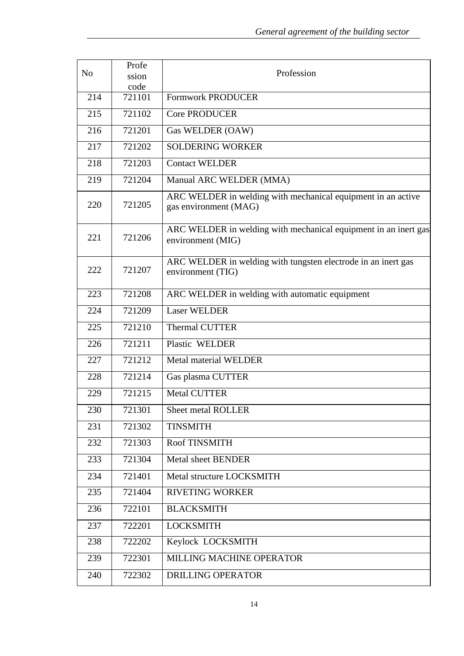| N <sub>o</sub> | Profe<br>ssion | Profession                                                                            |
|----------------|----------------|---------------------------------------------------------------------------------------|
|                | code           |                                                                                       |
| 214            | 721101         | <b>Formwork PRODUCER</b>                                                              |
| 215            | 721102         | <b>Core PRODUCER</b>                                                                  |
| 216            | 721201         | Gas WELDER (OAW)                                                                      |
| 217            | 721202         | <b>SOLDERING WORKER</b>                                                               |
| 218            | 721203         | <b>Contact WELDER</b>                                                                 |
| 219            | 721204         | Manual ARC WELDER (MMA)                                                               |
| 220            | 721205         | ARC WELDER in welding with mechanical equipment in an active<br>gas environment (MAG) |
| 221            | 721206         | ARC WELDER in welding with mechanical equipment in an inert gas<br>environment (MIG)  |
| 222            | 721207         | ARC WELDER in welding with tungsten electrode in an inert gas<br>environment (TIG)    |
| 223            | 721208         | ARC WELDER in welding with automatic equipment                                        |
| 224            | 721209         | <b>Laser WELDER</b>                                                                   |
| 225            | 721210         | <b>Thermal CUTTER</b>                                                                 |
| 226            | 721211         | Plastic WELDER                                                                        |
| 227            | 721212         | <b>Metal material WELDER</b>                                                          |
| 228            | 721214         | Gas plasma CUTTER                                                                     |
| 229            | 721215         | <b>Metal CUTTER</b>                                                                   |
| 230            | 721301         | Sheet metal ROLLER                                                                    |
| 231            | 721302         | <b>TINSMITH</b>                                                                       |
| 232            | 721303         | Roof TINSMITH                                                                         |
| 233            | 721304         | <b>Metal sheet BENDER</b>                                                             |
| 234            | 721401         | Metal structure LOCKSMITH                                                             |
| 235            | 721404         | <b>RIVETING WORKER</b>                                                                |
| 236            | 722101         | <b>BLACKSMITH</b>                                                                     |
| 237            | 722201         | <b>LOCKSMITH</b>                                                                      |
| 238            | 722202         | Keylock LOCKSMITH                                                                     |
| 239            | 722301         | <b>MILLING MACHINE OPERATOR</b>                                                       |
| 240            | 722302         | <b>DRILLING OPERATOR</b>                                                              |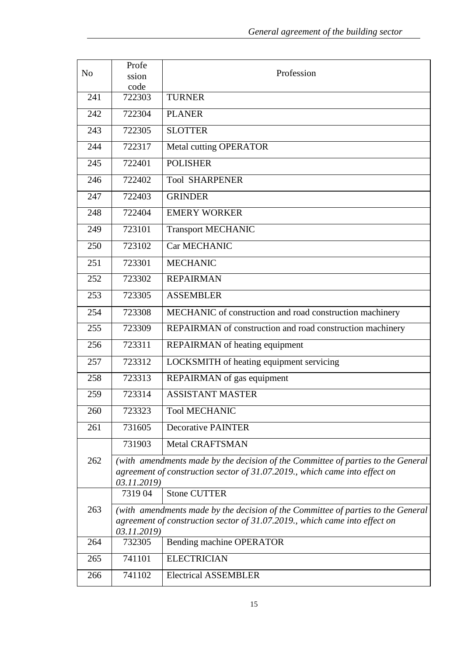| N <sub>0</sub> | Profe                                                                                     | Profession                                                                       |  |
|----------------|-------------------------------------------------------------------------------------------|----------------------------------------------------------------------------------|--|
|                | ssion<br>code                                                                             |                                                                                  |  |
| 241            | 722303                                                                                    | <b>TURNER</b>                                                                    |  |
|                | 722304                                                                                    | <b>PLANER</b>                                                                    |  |
| 242            |                                                                                           |                                                                                  |  |
| 243            | 722305                                                                                    | <b>SLOTTER</b>                                                                   |  |
| 244            | 722317                                                                                    | <b>Metal cutting OPERATOR</b>                                                    |  |
| 245            | 722401                                                                                    | <b>POLISHER</b>                                                                  |  |
| 246            | 722402                                                                                    | <b>Tool SHARPENER</b>                                                            |  |
| 247            | 722403                                                                                    | <b>GRINDER</b>                                                                   |  |
| 248            | 722404                                                                                    | <b>EMERY WORKER</b>                                                              |  |
| 249            | 723101                                                                                    | <b>Transport MECHANIC</b>                                                        |  |
| 250            | 723102                                                                                    | Car MECHANIC                                                                     |  |
| 251            | 723301                                                                                    | <b>MECHANIC</b>                                                                  |  |
| 252            | 723302                                                                                    | <b>REPAIRMAN</b>                                                                 |  |
| 253            | 723305                                                                                    | <b>ASSEMBLER</b>                                                                 |  |
| 254            | 723308                                                                                    | MECHANIC of construction and road construction machinery                         |  |
| 255            | 723309                                                                                    | REPAIRMAN of construction and road construction machinery                        |  |
| 256            | 723311                                                                                    | REPAIRMAN of heating equipment                                                   |  |
| 257            | 723312                                                                                    | LOCKSMITH of heating equipment servicing                                         |  |
| 258            | 723313                                                                                    | REPAIRMAN of gas equipment                                                       |  |
| 259            | 723314                                                                                    | <b>ASSISTANT MASTER</b>                                                          |  |
| 260            | 723323                                                                                    | <b>Tool MECHANIC</b>                                                             |  |
| 261            | 731605                                                                                    | <b>Decorative PAINTER</b>                                                        |  |
|                | 731903                                                                                    | <b>Metal CRAFTSMAN</b>                                                           |  |
| 262            |                                                                                           | (with amendments made by the decision of the Committee of parties to the General |  |
|                |                                                                                           | agreement of construction sector of 31.07.2019., which came into effect on       |  |
|                | 03.11.2019)                                                                               | <b>Stone CUTTER</b>                                                              |  |
| 263            | 731904                                                                                    |                                                                                  |  |
|                | (with amendments made by the decision of the Committee of parties to the General          |                                                                                  |  |
|                | agreement of construction sector of 31.07.2019., which came into effect on<br>03.11.2019) |                                                                                  |  |
| 264            | 732305                                                                                    | Bending machine OPERATOR                                                         |  |
| 265            | 741101                                                                                    | <b>ELECTRICIAN</b>                                                               |  |
| 266            | 741102                                                                                    | <b>Electrical ASSEMBLER</b>                                                      |  |
|                |                                                                                           |                                                                                  |  |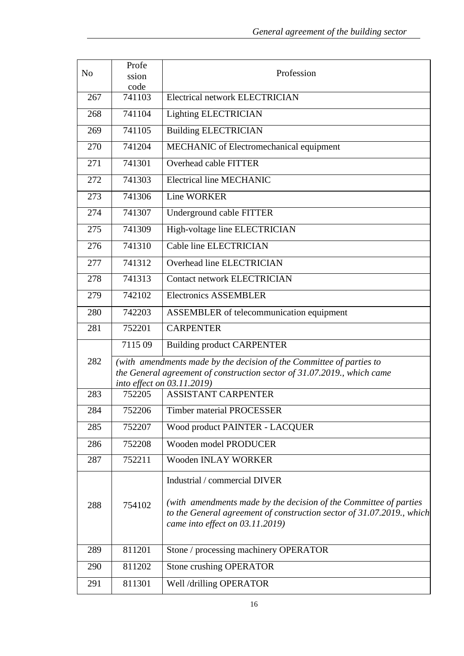| ssion<br>code<br><b>Electrical network ELECTRICIAN</b><br>741103<br>267                                                                                |  |
|--------------------------------------------------------------------------------------------------------------------------------------------------------|--|
|                                                                                                                                                        |  |
|                                                                                                                                                        |  |
| 741104<br>268<br><b>Lighting ELECTRICIAN</b>                                                                                                           |  |
| 741105<br><b>Building ELECTRICIAN</b><br>269                                                                                                           |  |
| MECHANIC of Electromechanical equipment<br>270<br>741204                                                                                               |  |
| <b>Overhead cable FITTER</b><br>271<br>741301                                                                                                          |  |
| <b>Electrical line MECHANIC</b><br>272<br>741303                                                                                                       |  |
| 741306<br><b>Line WORKER</b><br>273                                                                                                                    |  |
| 274<br>741307<br>Underground cable FITTER                                                                                                              |  |
| High-voltage line ELECTRICIAN<br>741309<br>275                                                                                                         |  |
| <b>Cable line ELECTRICIAN</b><br>741310<br>276                                                                                                         |  |
| Overhead line ELECTRICIAN<br>741312<br>277                                                                                                             |  |
| 741313<br>278<br><b>Contact network ELECTRICIAN</b>                                                                                                    |  |
| <b>Electronics ASSEMBLER</b><br>742102<br>279                                                                                                          |  |
| 742203<br>ASSEMBLER of telecommunication equipment<br>280                                                                                              |  |
| 752201<br>281<br><b>CARPENTER</b>                                                                                                                      |  |
| 711509<br><b>Building product CARPENTER</b>                                                                                                            |  |
| 282<br>(with amendments made by the decision of the Committee of parties to<br>the General agreement of construction sector of 31.07.2019., which came |  |
| into effect on 03.11.2019)                                                                                                                             |  |
| <b>ASSISTANT CARPENTER</b><br>283<br>752205                                                                                                            |  |
| $\mathbf{r}$<br>752206<br><b>Timber material PROCESSER</b><br>284                                                                                      |  |
| Wood product PAINTER - LACQUER<br>285<br>752207                                                                                                        |  |
| 752208<br>Wooden model PRODUCER<br>286                                                                                                                 |  |
| <b>Wooden INLAY WORKER</b><br>287<br>752211                                                                                                            |  |
| Industrial / commercial DIVER                                                                                                                          |  |
| (with amendments made by the decision of the Committee of parties                                                                                      |  |
| 754102<br>288<br>to the General agreement of construction sector of 31.07.2019., which                                                                 |  |
| came into effect on 03.11.2019)                                                                                                                        |  |
| 811201<br>Stone / processing machinery OPERATOR<br>289                                                                                                 |  |
| Stone crushing OPERATOR<br>290<br>811202                                                                                                               |  |
| 811301<br>Well /drilling OPERATOR<br>291                                                                                                               |  |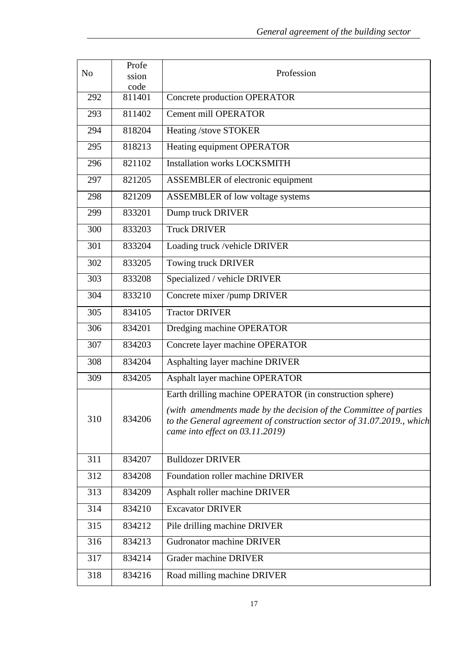| N <sub>o</sub>   | Profe<br>ssion | Profession                                                                                                                                                                                                                                   |
|------------------|----------------|----------------------------------------------------------------------------------------------------------------------------------------------------------------------------------------------------------------------------------------------|
|                  | code           |                                                                                                                                                                                                                                              |
| 292              | 811401         | <b>Concrete production OPERATOR</b>                                                                                                                                                                                                          |
| 293              | 811402         | <b>Cement mill OPERATOR</b>                                                                                                                                                                                                                  |
| 294              | 818204         | Heating /stove STOKER                                                                                                                                                                                                                        |
| 295              | 818213         | Heating equipment OPERATOR                                                                                                                                                                                                                   |
| 296              | 821102         | <b>Installation works LOCKSMITH</b>                                                                                                                                                                                                          |
| 297              | 821205         | ASSEMBLER of electronic equipment                                                                                                                                                                                                            |
| 298              | 821209         | ASSEMBLER of low voltage systems                                                                                                                                                                                                             |
| 299              | 833201         | Dump truck DRIVER                                                                                                                                                                                                                            |
| 300              | 833203         | <b>Truck DRIVER</b>                                                                                                                                                                                                                          |
| 301              | 833204         | Loading truck /vehicle DRIVER                                                                                                                                                                                                                |
| 302              | 833205         | Towing truck DRIVER                                                                                                                                                                                                                          |
| 303              | 833208         | Specialized / vehicle DRIVER                                                                                                                                                                                                                 |
| 304              | 833210         | Concrete mixer /pump DRIVER                                                                                                                                                                                                                  |
| 305              | 834105         | <b>Tractor DRIVER</b>                                                                                                                                                                                                                        |
| 306              | 834201         | Dredging machine OPERATOR                                                                                                                                                                                                                    |
| 307              | 834203         | Concrete layer machine OPERATOR                                                                                                                                                                                                              |
| 308              | 834204         | Asphalting layer machine DRIVER                                                                                                                                                                                                              |
| 309              | 834205         | Asphalt layer machine OPERATOR                                                                                                                                                                                                               |
| 310              | 834206         | Earth drilling machine OPERATOR (in construction sphere)<br>(with amendments made by the decision of the Committee of parties<br>to the General agreement of construction sector of 31.07.2019., which<br>came into effect on $03.11.2019$ ) |
| 311              | 834207         | <b>Bulldozer DRIVER</b>                                                                                                                                                                                                                      |
| 312              | 834208         | Foundation roller machine DRIVER                                                                                                                                                                                                             |
| 313              | 834209         | Asphalt roller machine DRIVER                                                                                                                                                                                                                |
| 314              | 834210         | <b>Excavator DRIVER</b>                                                                                                                                                                                                                      |
| 315              | 834212         | Pile drilling machine DRIVER                                                                                                                                                                                                                 |
| 316              | 834213         | <b>Gudronator machine DRIVER</b>                                                                                                                                                                                                             |
| $\overline{3}17$ | 834214         | <b>Grader machine DRIVER</b>                                                                                                                                                                                                                 |
| 318              | 834216         | Road milling machine DRIVER                                                                                                                                                                                                                  |